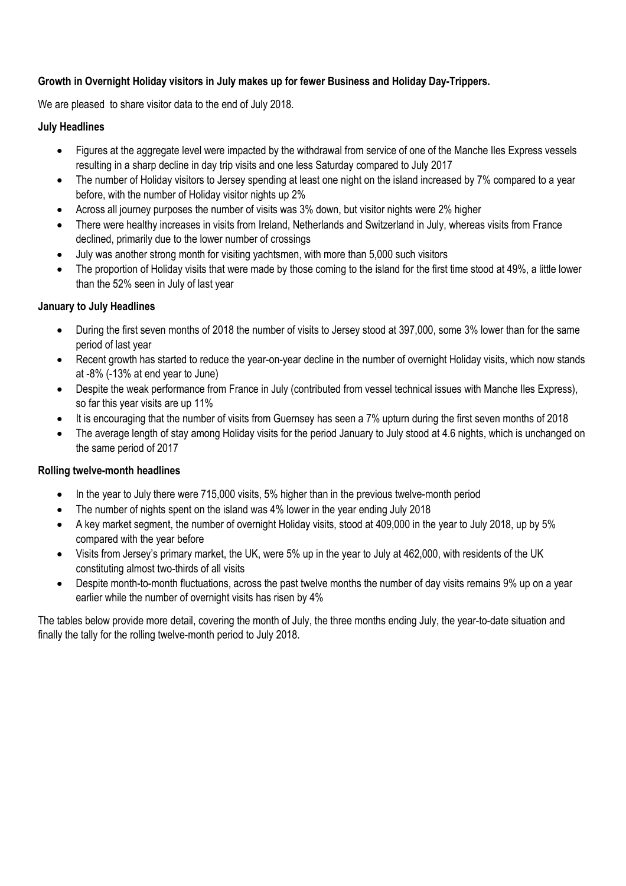## **Growth in Overnight Holiday visitors in July makes up for fewer Business and Holiday Day-Trippers.**

We are pleased to share visitor data to the end of July 2018.

## **July Headlines**

- Figures at the aggregate level were impacted by the withdrawal from service of one of the Manche Iles Express vessels resulting in a sharp decline in day trip visits and one less Saturday compared to July 2017
- The number of Holiday visitors to Jersey spending at least one night on the island increased by 7% compared to a year before, with the number of Holiday visitor nights up 2%
- Across all journey purposes the number of visits was 3% down, but visitor nights were 2% higher
- There were healthy increases in visits from Ireland, Netherlands and Switzerland in July, whereas visits from France declined, primarily due to the lower number of crossings
- July was another strong month for visiting yachtsmen, with more than 5,000 such visitors
- The proportion of Holiday visits that were made by those coming to the island for the first time stood at 49%, a little lower than the 52% seen in July of last year

## **January to July Headlines**

- During the first seven months of 2018 the number of visits to Jersey stood at 397,000, some 3% lower than for the same period of last year
- Recent growth has started to reduce the year-on-year decline in the number of overnight Holiday visits, which now stands at -8% (-13% at end year to June)
- Despite the weak performance from France in July (contributed from vessel technical issues with Manche Iles Express), so far this year visits are up 11%
- It is encouraging that the number of visits from Guernsey has seen a 7% upturn during the first seven months of 2018
- The average length of stay among Holiday visits for the period January to July stood at 4.6 nights, which is unchanged on the same period of 2017

## **Rolling twelve-month headlines**

- In the year to July there were 715,000 visits, 5% higher than in the previous twelve-month period
- The number of nights spent on the island was 4% lower in the year ending July 2018
- A key market segment, the number of overnight Holiday visits, stood at 409,000 in the year to July 2018, up by 5% compared with the year before
- Visits from Jersey's primary market, the UK, were 5% up in the year to July at 462,000, with residents of the UK constituting almost two-thirds of all visits
- Despite month-to-month fluctuations, across the past twelve months the number of day visits remains 9% up on a year earlier while the number of overnight visits has risen by 4%

The tables below provide more detail, covering the month of July, the three months ending July, the year-to-date situation and finally the tally for the rolling twelve-month period to July 2018.